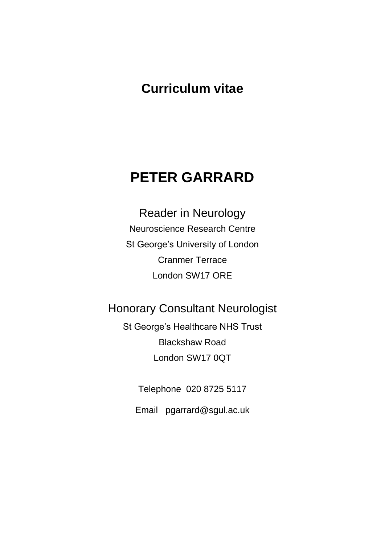# **Curriculum vitae**

# **PETER GARRARD**

Reader in Neurology Neuroscience Research Centre St George's University of London Cranmer Terrace London SW17 ORE

# Honorary Consultant Neurologist

St George's Healthcare NHS Trust Blackshaw Road London SW17 0QT

Telephone 020 8725 5117

Email pgarrard@sgul.ac.uk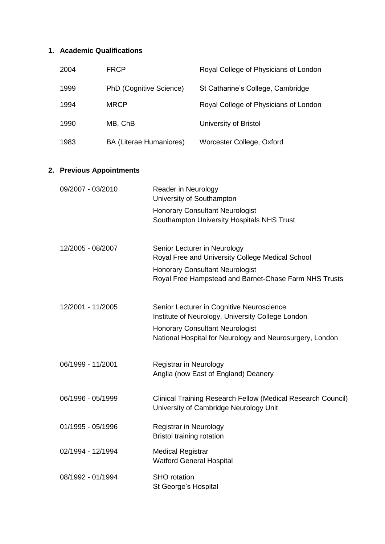# **1. Academic Qualifications**

|  | 2004                                   | <b>FRCP</b>                    |                                                                                                | Royal College of Physicians of London                                                                  |  |  |
|--|----------------------------------------|--------------------------------|------------------------------------------------------------------------------------------------|--------------------------------------------------------------------------------------------------------|--|--|
|  | 1999                                   | PhD (Cognitive Science)        |                                                                                                | St Catharine's College, Cambridge                                                                      |  |  |
|  | 1994                                   | <b>MRCP</b>                    |                                                                                                | Royal College of Physicians of London                                                                  |  |  |
|  | 1990                                   | MB, ChB                        |                                                                                                | University of Bristol                                                                                  |  |  |
|  | 1983                                   | <b>BA (Literae Humaniores)</b> |                                                                                                | Worcester College, Oxford                                                                              |  |  |
|  | 2. Previous Appointments               |                                |                                                                                                |                                                                                                        |  |  |
|  | 09/2007 - 03/2010<br>12/2005 - 08/2007 |                                | Reader in Neurology<br>University of Southampton                                               |                                                                                                        |  |  |
|  |                                        |                                | <b>Honorary Consultant Neurologist</b><br>Southampton University Hospitals NHS Trust           |                                                                                                        |  |  |
|  |                                        |                                | Senior Lecturer in Neurology<br>Royal Free and University College Medical School               |                                                                                                        |  |  |
|  |                                        |                                |                                                                                                | <b>Honorary Consultant Neurologist</b><br>Royal Free Hampstead and Barnet-Chase Farm NHS Trusts        |  |  |
|  | 12/2001 - 11/2005                      |                                | Senior Lecturer in Cognitive Neuroscience<br>Institute of Neurology, University College London |                                                                                                        |  |  |
|  |                                        |                                |                                                                                                | <b>Honorary Consultant Neurologist</b><br>National Hospital for Neurology and Neurosurgery, London     |  |  |
|  | 06/1999 - 11/2001                      |                                | Registrar in Neurology<br>Anglia (now East of England) Deanery                                 |                                                                                                        |  |  |
|  | 06/1996 - 05/1999                      |                                |                                                                                                | Clinical Training Research Fellow (Medical Research Council)<br>University of Cambridge Neurology Unit |  |  |
|  | 01/1995 - 05/1996                      |                                | Registrar in Neurology<br><b>Bristol training rotation</b>                                     |                                                                                                        |  |  |
|  | 02/1994 - 12/1994                      |                                | <b>Medical Registrar</b><br><b>Watford General Hospital</b>                                    |                                                                                                        |  |  |
|  | 08/1992 - 01/1994                      |                                | <b>SHO</b> rotation<br>St George's Hospital                                                    |                                                                                                        |  |  |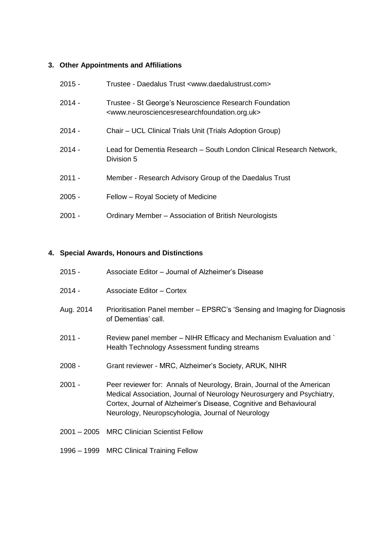# **3. Other Appointments and Affiliations**

| $2015 -$ | Trustee - Daedalus Trust <www.daedalustrust.com></www.daedalustrust.com>                                                                            |
|----------|-----------------------------------------------------------------------------------------------------------------------------------------------------|
| $2014 -$ | Trustee - St George's Neuroscience Research Foundation<br><www.neurosciencesresearchfoundation.org.uk></www.neurosciencesresearchfoundation.org.uk> |
| $2014 -$ | Chair - UCL Clinical Trials Unit (Trials Adoption Group)                                                                                            |
| $2014 -$ | Lead for Dementia Research - South London Clinical Research Network,<br>Division 5                                                                  |
| $2011 -$ | Member - Research Advisory Group of the Daedalus Trust                                                                                              |
| $2005 -$ | Fellow – Royal Society of Medicine                                                                                                                  |
| $2001 -$ | Ordinary Member - Association of British Neurologists                                                                                               |

# **4. Special Awards, Honours and Distinctions**

| $2015 -$  | Associate Editor - Journal of Alzheimer's Disease                                                                                                                                                                                                                          |
|-----------|----------------------------------------------------------------------------------------------------------------------------------------------------------------------------------------------------------------------------------------------------------------------------|
| $2014 -$  | Associate Editor - Cortex                                                                                                                                                                                                                                                  |
| Aug. 2014 | Prioritisation Panel member – EPSRC's 'Sensing and Imaging for Diagnosis<br>of Dementias' call.                                                                                                                                                                            |
| $2011 -$  | Review panel member – NIHR Efficacy and Mechanism Evaluation and `<br>Health Technology Assessment funding streams                                                                                                                                                         |
| $2008 -$  | Grant reviewer - MRC, Alzheimer's Society, ARUK, NIHR                                                                                                                                                                                                                      |
| $2001 -$  | Peer reviewer for: Annals of Neurology, Brain, Journal of the American<br>Medical Association, Journal of Neurology Neurosurgery and Psychiatry,<br>Cortex, Journal of Alzheimer's Disease, Cognitive and Behavioural<br>Neurology, Neuropscyhologia, Journal of Neurology |
|           | 2001 - 2005 MRC Clinician Scientist Fellow                                                                                                                                                                                                                                 |
|           | 1996 - 1999 MRC Clinical Training Fellow                                                                                                                                                                                                                                   |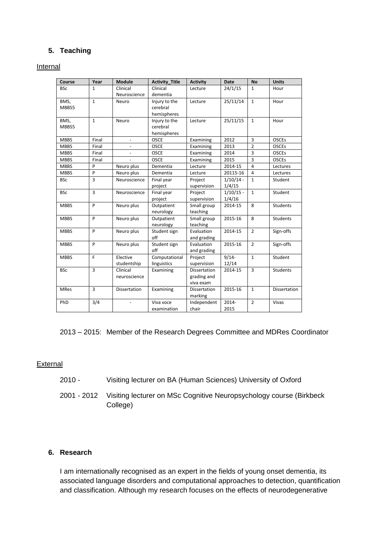# **5. Teaching**

#### Internal

| Course                        | Year           | Module        | <b>Activity Title</b> | <b>Activity</b>          | <b>Date</b> | <b>No</b>      | <b>Units</b>        |
|-------------------------------|----------------|---------------|-----------------------|--------------------------|-------------|----------------|---------------------|
| <b>BSc</b>                    | $\mathbf{1}$   | Clinical      | Clinical              | Lecture                  | 24/1/15     | $\mathbf{1}$   | Hour                |
| Neuroscience                  |                | dementia      |                       |                          |             |                |                     |
| BMS,<br>$\mathbf{1}$<br>Neuro |                | Injury to the | Lecture               | 25/11/14<br>$\mathbf{1}$ |             | Hour           |                     |
| MBBS5                         |                |               | cerebral              |                          |             |                |                     |
|                               |                |               | hemispheres           |                          |             |                |                     |
| BMS,                          | $\mathbf{1}$   | Neuro         | Injury to the         | Lecture                  | 25/11/15    | $\mathbf{1}$   | Hour                |
| MBBS5                         |                |               | cerebral              |                          |             |                |                     |
|                               |                |               | hemispheres           |                          |             |                |                     |
| <b>MBBS</b>                   | Final          |               | <b>OSCE</b>           | Examining                | 2012        | 3              | <b>OSCEs</b>        |
| <b>MBBS</b>                   | Final          |               | <b>OSCE</b>           | Examining                | 2013        | $\overline{2}$ | <b>OSCEs</b>        |
| <b>MBBS</b>                   | Final          |               | <b>OSCE</b>           | Examining                | 2014        | 3              | <b>OSCEs</b>        |
| <b>MBBS</b>                   | Final          |               | <b>OSCE</b>           | Examining                | 2015        | 3              | <b>OSCEs</b>        |
| <b>MBBS</b>                   | P              | Neuro plus    | Dementia              | Lecture                  | 2014-15     | $\overline{4}$ | Lectures            |
| <b>MBBS</b>                   | P              | Neuro plus    | Dementia              | Lecture                  | 20115-16    | 4              | Lectures            |
| <b>BSc</b>                    | 3              | Neuroscience  | Final year            | Project                  | $1/10/14$ - | $\mathbf{1}$   | Student             |
|                               |                |               | project               | supervision              | 1/4/15      |                |                     |
| <b>BSc</b>                    | $\overline{3}$ | Neuroscience  | Final year            | Project                  | $1/10/15 -$ | $\mathbf{1}$   | Student             |
|                               |                |               | project               | supervision              | 1/4/16      |                |                     |
| <b>MBBS</b>                   | P              | Neuro plus    | Outpatient            | Small group              | 2014-15     | 8              | <b>Students</b>     |
|                               |                |               | neurology             | teaching                 |             |                |                     |
| <b>MBBS</b>                   | P              | Neuro plus    | Outpatient            | Small group              | 2015-16     | 8              | <b>Students</b>     |
|                               |                |               | neurology             | teaching                 |             |                |                     |
| <b>MBBS</b>                   | P              | Neuro plus    | Student sign          | Evaluation               | 2014-15     | $\overline{2}$ | Sign-offs           |
|                               |                |               | off                   | and grading              |             |                |                     |
| <b>MBBS</b>                   | P              | Neuro plus    | Student sign          | Evaluation               | 2015-16     | $\overline{2}$ | Sign-offs           |
|                               |                |               | off                   | and grading              |             |                |                     |
| <b>MBBS</b>                   | F              | Elective      | Computational         | Project                  | $9/14-$     | $\mathbf{1}$   | Student             |
|                               |                | studentship   | linguistics           | supervision              | 12/14       |                |                     |
| <b>BSc</b>                    | 3              | Clinical      | Examining             | Dissertation             | 2014-15     | $\overline{3}$ | <b>Students</b>     |
|                               |                | neuroscience  |                       | grading and              |             |                |                     |
|                               |                |               |                       | viva exam                |             |                |                     |
| <b>MRes</b>                   | 3              | Dissertation  | Examining             | Dissertation             | 2015-16     | $\mathbf{1}$   | <b>Dissertation</b> |
|                               |                |               |                       | marking                  |             |                |                     |
| PhD                           | 3/4            |               | Viva voce             | Independent              | 2014-       | $\overline{2}$ | Vivas               |
|                               |                |               | examination           | chair                    | 2015        |                |                     |

2013 – 2015: Member of the Research Degrees Committee and MDRes Coordinator

#### External

- 2010 Visiting lecturer on BA (Human Sciences) University of Oxford
- 2001 2012 Visiting lecturer on MSc Cognitive Neuropsychology course (Birkbeck College)

#### **6. Research**

I am internationally recognised as an expert in the fields of young onset dementia, its associated language disorders and computational approaches to detection, quantification and classification. Although my research focuses on the effects of neurodegenerative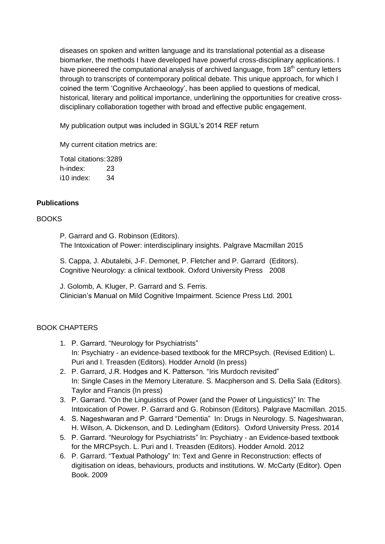diseases on spoken and written language and its translational potential as a disease biomarker, the methods I have developed have powerful cross-disciplinary applications. I have pioneered the computational analysis of archived language, from  $18<sup>th</sup>$  century letters through to transcripts of contemporary political debate. This unique approach, for which I coined the term 'Cognitive Archaeology', has been applied to questions of medical, historical, literary and political importance, underlining the opportunities for creative crossdisciplinary collaboration together with broad and effective public engagement.

My publication output was included in SGUL's 2014 REF return

My current citation metrics are:

Total citations:3289 h-index: 23 i10 index: 34

#### **Publications**

#### BOOKS

P. Garrard and G. Robinson (Editors). The Intoxication of Power: interdisciplinary insights. Palgrave Macmillan 2015

S. Cappa, J. Abutalebi, J-F. Demonet, P. Fletcher and P. Garrard (Editors). Cognitive Neurology: a clinical textbook. Oxford University Press 2008

J. Golomb, A. Kluger, P. Garrard and S. Ferris. Clinician's Manual on Mild Cognitive Impairment. Science Press Ltd. 2001

# BOOK CHAPTERS

- 1. P. Garrard. "Neurology for Psychiatrists" In: Psychiatry - an evidence-based textbook for the MRCPsych. (Revised Edition) L. Puri and I. Treasden (Editors). Hodder Arnold (In press)
- 2. P. Garrard, J.R. Hodges and K. Patterson. "Iris Murdoch revisited" In: Single Cases in the Memory Literature. S. Macpherson and S. Della Sala (Editors). Taylor and Francis (In press)
- 3. P. Garrard. "On the Linguistics of Power (and the Power of Linguistics)" In: The Intoxication of Power. P. Garrard and G. Robinson (Editors). Palgrave Macmillan. 2015.
- 4. S. Nageshwaran and P. Garrard "Dementia" In: Drugs in Neurology. S. Nageshwaran, H. Wilson, A. Dickenson, and D. Ledingham (Editors). Oxford University Press. 2014
- 5. P. Garrard. "Neurology for Psychiatrists" In: Psychiatry an Evidence-based textbook for the MRCPsych. L. Puri and I. Treasden (Editors). Hodder Arnold. 2012
- 6. P. Garrard. "Textual Pathology" In: Text and Genre in Reconstruction: effects of digitisation on ideas, behaviours, products and institutions. W. McCarty (Editor). Open Book. 2009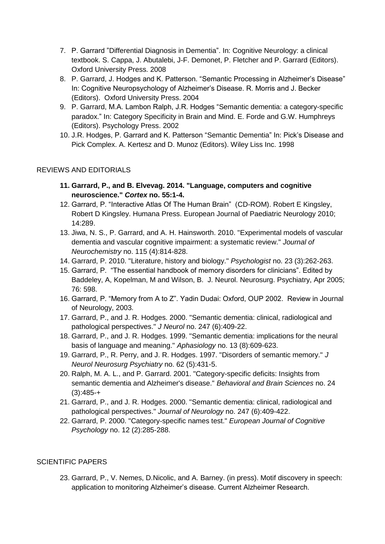- 7. P. Garrard "Differential Diagnosis in Dementia". In: Cognitive Neurology: a clinical textbook. S. Cappa, J. Abutalebi, J-F. Demonet, P. Fletcher and P. Garrard (Editors). Oxford University Press. 2008
- 8. P. Garrard, J. Hodges and K. Patterson. "Semantic Processing in Alzheimer's Disease" In: Cognitive Neuropsychology of Alzheimer's Disease. R. Morris and J. Becker (Editors). Oxford University Press. 2004
- 9. P. Garrard, M.A. Lambon Ralph, J.R. Hodges "Semantic dementia: a category-specific paradox." In: Category Specificity in Brain and Mind. E. Forde and G.W. Humphreys (Editors). Psychology Press. 2002
- 10. J.R. Hodges, P. Garrard and K. Patterson "Semantic Dementia" In: Pick's Disease and Pick Complex. A. Kertesz and D. Munoz (Editors). Wiley Liss Inc. 1998

#### REVIEWS AND EDITORIALS

- **11. Garrard, P., and B. Elvevag. 2014. "Language, computers and cognitive neuroscience."** *Cortex* **no. 55:1-4.**
- 12. Garrard, P. "Interactive Atlas Of The Human Brain" (CD-ROM). Robert E Kingsley, Robert D Kingsley. Humana Press. European Journal of Paediatric Neurology 2010; 14:289.
- 13. Jiwa, N. S., P. Garrard, and A. H. Hainsworth. 2010. "Experimental models of vascular dementia and vascular cognitive impairment: a systematic review." *Journal of Neurochemistry* no. 115 (4):814-828.
- 14. Garrard, P. 2010. "Literature, history and biology." *Psychologist* no. 23 (3):262-263.
- 15. Garrard, P. "The essential handbook of memory disorders for clinicians". Edited by Baddeley, A, Kopelman, M and Wilson, B. J. Neurol. Neurosurg. Psychiatry, Apr 2005; 76: 598.
- 16. Garrard, P. "Memory from A to Z". Yadin Dudai: Oxford, OUP 2002. Review in Journal of Neurology, 2003.
- 17. Garrard, P., and J. R. Hodges. 2000. "Semantic dementia: clinical, radiological and pathological perspectives." *J Neurol* no. 247 (6):409-22.
- 18. Garrard, P., and J. R. Hodges. 1999. "Semantic dementia: implications for the neural basis of language and meaning." *Aphasiology* no. 13 (8):609-623.
- 19. Garrard, P., R. Perry, and J. R. Hodges. 1997. "Disorders of semantic memory." *J Neurol Neurosurg Psychiatry* no. 62 (5):431-5.
- 20. Ralph, M. A. L., and P. Garrard. 2001. "Category-specific deficits: Insights from semantic dementia and Alzheimer's disease." *Behavioral and Brain Sciences* no. 24 (3):485-+
- 21. Garrard, P., and J. R. Hodges. 2000. "Semantic dementia: clinical, radiological and pathological perspectives." *Journal of Neurology* no. 247 (6):409-422.
- 22. Garrard, P. 2000. "Category-specific names test." *European Journal of Cognitive Psychology* no. 12 (2):285-288.

# SCIENTIFIC PAPERS

23. Garrard, P., V. Nemes, D.Nicolic, and A. Barney. (in press). Motif discovery in speech: application to monitoring Alzheimer's disease. Current Alzheimer Research.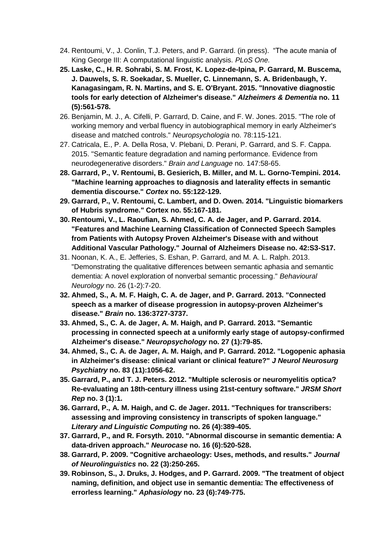- 24. Rentoumi, V., J. Conlin, T.J. Peters, and P. Garrard. (in press). "The acute mania of King George III: A computational linguistic analysis. *PLoS One.*
- **25. Laske, C., H. R. Sohrabi, S. M. Frost, K. Lopez-de-Ipina, P. Garrard, M. Buscema, J. Dauwels, S. R. Soekadar, S. Mueller, C. Linnemann, S. A. Bridenbaugh, Y. Kanagasingam, R. N. Martins, and S. E. O'Bryant. 2015. "Innovative diagnostic tools for early detection of Alzheimer's disease."** *Alzheimers & Dementia* **no. 11 (5):561-578.**
- 26. Benjamin, M. J., A. Cifelli, P. Garrard, D. Caine, and F. W. Jones. 2015. "The role of working memory and verbal fluency in autobiographical memory in early Alzheimer's disease and matched controls." *Neuropsychologia* no. 78:115-121.
- 27. Catricala, E., P. A. Della Rosa, V. Plebani, D. Perani, P. Garrard, and S. F. Cappa. 2015. "Semantic feature degradation and naming performance. Evidence from neurodegenerative disorders." *Brain and Language* no. 147:58-65.
- **28. Garrard, P., V. Rentoumi, B. Gesierich, B. Miller, and M. L. Gorno-Tempini. 2014. "Machine learning approaches to diagnosis and laterality effects in semantic dementia discourse."** *Cortex* **no. 55:122-129.**
- **29. Garrard, P., V. Rentoumi, C. Lambert, and D. Owen. 2014. "Linguistic biomarkers of Hubris syndrome." Cortex no. 55:167-181.**
- **30. Rentoumi, V., L. Raoufian, S. Ahmed, C. A. de Jager, and P. Garrard. 2014. "Features and Machine Learning Classification of Connected Speech Samples from Patients with Autopsy Proven Alzheimer's Disease with and without Additional Vascular Pathology." Journal of Alzheimers Disease no. 42:S3-S17.**
- 31. Noonan, K. A., E. Jefferies, S. Eshan, P. Garrard, and M. A. L. Ralph. 2013. "Demonstrating the qualitative differences between semantic aphasia and semantic dementia: A novel exploration of nonverbal semantic processing." *Behavioural Neurology* no. 26 (1-2):7-20.
- **32. Ahmed, S., A. M. F. Haigh, C. A. de Jager, and P. Garrard. 2013. "Connected speech as a marker of disease progression in autopsy-proven Alzheimer's disease."** *Brain* **no. 136:3727-3737.**
- **33. Ahmed, S., C. A. de Jager, A. M. Haigh, and P. Garrard. 2013. "Semantic processing in connected speech at a uniformly early stage of autopsy-confirmed Alzheimer's disease."** *Neuropsychology* **no. 27 (1):79-85.**
- **34. Ahmed, S., C. A. de Jager, A. M. Haigh, and P. Garrard. 2012. "Logopenic aphasia in Alzheimer's disease: clinical variant or clinical feature?"** *J Neurol Neurosurg Psychiatry* **no. 83 (11):1056-62.**
- **35. Garrard, P., and T. J. Peters. 2012. "Multiple sclerosis or neuromyelitis optica? Re-evaluating an 18th-century illness using 21st-century software."** *JRSM Short Rep* **no. 3 (1):1.**
- **36. Garrard, P., A. M. Haigh, and C. de Jager. 2011. "Techniques for transcribers: assessing and improving consistency in transcripts of spoken language."**  *Literary and Linguistic Computing* **no. 26 (4):389-405.**
- **37. Garrard, P., and R. Forsyth. 2010. "Abnormal discourse in semantic dementia: A data-driven approach."** *Neurocase* **no. 16 (6):520-528.**
- **38. Garrard, P. 2009. "Cognitive archaeology: Uses, methods, and results."** *Journal of Neurolinguistics* **no. 22 (3):250-265.**
- **39. Robinson, S., J. Druks, J. Hodges, and P. Garrard. 2009. "The treatment of object naming, definition, and object use in semantic dementia: The effectiveness of errorless learning."** *Aphasiology* **no. 23 (6):749-775.**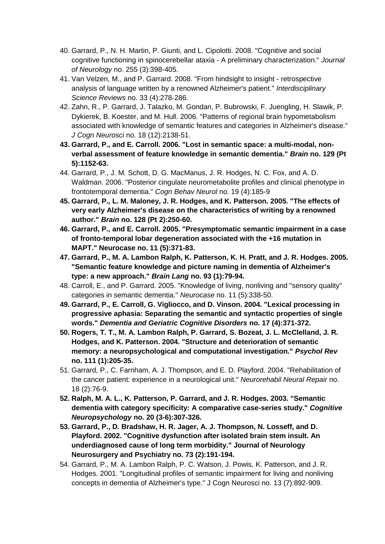- 40. Garrard, P., N. H. Martin, P. Giunti, and L. Cipolotti. 2008. "Cognitive and social cognitive functioning in spinocerebellar ataxia - A preliminary characterization." *Journal of Neurology* no. 255 (3):398-405.
- 41. Van Velzen, M., and P. Garrard. 2008. "From hindsight to insight retrospective analysis of language written by a renowned Alzheimer's patient." *Interdisciplinary Science Reviews* no. 33 (4):278-286.
- 42. Zahn, R., P. Garrard, J. Talazko, M. Gondan, P. Bubrowski, F. Juengling, H. Slawik, P. Dykierek, B. Koester, and M. Hull. 2006. "Patterns of regional brain hypometabolism associated with knowledge of semantic features and categories in Alzheimer's disease." *J Cogn Neurosci* no. 18 (12):2138-51.
- **43. Garrard, P., and E. Carroll. 2006. "Lost in semantic space: a multi-modal, nonverbal assessment of feature knowledge in semantic dementia."** *Brain* **no. 129 (Pt 5):1152-63.**
- 44. Garrard, P., J. M. Schott, D. G. MacManus, J. R. Hodges, N. C. Fox, and A. D. Waldman. 2006. "Posterior cingulate neurometabolite profiles and clinical phenotype in frontotemporal dementia." *Cogn Behav Neurol* no. 19 (4):185-9
- **45. Garrard, P., L. M. Maloney, J. R. Hodges, and K. Patterson. 2005. "The effects of very early Alzheimer's disease on the characteristics of writing by a renowned author."** *Brain* **no. 128 (Pt 2):250-60.**
- **46. Garrard, P., and E. Carroll. 2005. "Presymptomatic semantic impairment in a case of fronto-temporal lobar degeneration associated with the +16 mutation in MAPT." Neurocase no. 11 (5):371-83.**
- **47. Garrard, P., M. A. Lambon Ralph, K. Patterson, K. H. Pratt, and J. R. Hodges. 2005. "Semantic feature knowledge and picture naming in dementia of Alzheimer's type: a new approach."** *Brain Lang* **no. 93 (1):79-94.**
- 48. Carroll, E., and P. Garrard. 2005. "Knowledge of living, nonliving and "sensory quality" categories in semantic dementia." *Neurocase* no. 11 (5):338-50.
- **49. Garrard, P., E. Carroll, G. Vigliocco, and D. Vinson. 2004. "Lexical processing in progressive aphasia: Separating the semantic and syntactic properties of single words."** *Dementia and Geriatric Cognitive Disorders* **no. 17 (4):371-372.**
- **50. Rogers, T. T., M. A. Lambon Ralph, P. Garrard, S. Bozeat, J. L. McClelland, J. R. Hodges, and K. Patterson. 2004. "Structure and deterioration of semantic memory: a neuropsychological and computational investigation."** *Psychol Rev* **no. 111 (1):205-35.**
- 51. Garrard, P., C. Farnham, A. J. Thompson, and E. D. Playford. 2004. "Rehabilitation of the cancer patient: experience in a neurological unit." *Neurorehabil Neural Repair* no. 18 (2):76-9.
- **52. Ralph, M. A. L., K. Patterson, P. Garrard, and J. R. Hodges. 2003. "Semantic dementia with category specificity: A comparative case-series study."** *Cognitive Neuropsychology* **no. 20 (3-6):307-326.**
- **53. Garrard, P., D. Bradshaw, H. R. Jager, A. J. Thompson, N. Losseff, and D. Playford. 2002. "Cognitive dysfunction after isolated brain stem insult. An underdiagnosed cause of long term morbidity." Journal of Neurology Neurosurgery and Psychiatry no. 73 (2):191-194.**
- 54. Garrard, P., M. A. Lambon Ralph, P. C. Watson, J. Powis, K. Patterson, and J. R. Hodges. 2001. "Longitudinal profiles of semantic impairment for living and nonliving concepts in dementia of Alzheimer's type." J Cogn Neurosci no. 13 (7):892-909.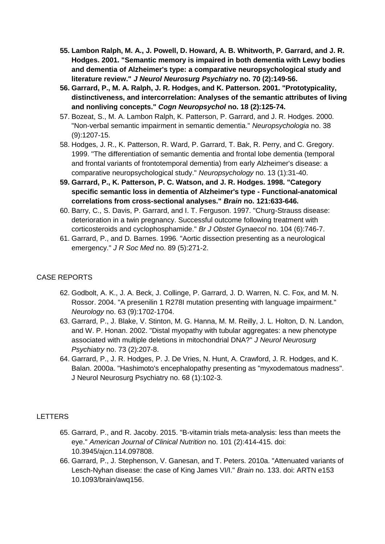- **55. Lambon Ralph, M. A., J. Powell, D. Howard, A. B. Whitworth, P. Garrard, and J. R. Hodges. 2001. "Semantic memory is impaired in both dementia with Lewy bodies and dementia of Alzheimer's type: a comparative neuropsychological study and literature review."** *J Neurol Neurosurg Psychiatry* **no. 70 (2):149-56.**
- **56. Garrard, P., M. A. Ralph, J. R. Hodges, and K. Patterson. 2001. "Prototypicality, distinctiveness, and intercorrelation: Analyses of the semantic attributes of living and nonliving concepts."** *Cogn Neuropsychol* **no. 18 (2):125-74.**
- 57. Bozeat, S., M. A. Lambon Ralph, K. Patterson, P. Garrard, and J. R. Hodges. 2000. "Non-verbal semantic impairment in semantic dementia." *Neuropsychologia* no. 38 (9):1207-15.
- 58. Hodges, J. R., K. Patterson, R. Ward, P. Garrard, T. Bak, R. Perry, and C. Gregory. 1999. "The differentiation of semantic dementia and frontal lobe dementia (temporal and frontal variants of frontotemporal dementia) from early Alzheimer's disease: a comparative neuropsychological study." *Neuropsychology* no. 13 (1):31-40.
- **59. Garrard, P., K. Patterson, P. C. Watson, and J. R. Hodges. 1998. "Category specific semantic loss in dementia of Alzheimer's type - Functional-anatomical correlations from cross-sectional analyses."** *Brain* **no. 121:633-646.**
- 60. Barry, C., S. Davis, P. Garrard, and I. T. Ferguson. 1997. "Churg-Strauss disease: deterioration in a twin pregnancy. Successful outcome following treatment with corticosteroids and cyclophosphamide." *Br J Obstet Gynaecol* no. 104 (6):746-7.
- 61. Garrard, P., and D. Barnes. 1996. "Aortic dissection presenting as a neurological emergency." *J R Soc Med* no. 89 (5):271-2.

# CASE REPORTS

- 62. Godbolt, A. K., J. A. Beck, J. Collinge, P. Garrard, J. D. Warren, N. C. Fox, and M. N. Rossor. 2004. "A presenilin 1 R278I mutation presenting with language impairment." *Neurology* no. 63 (9):1702-1704.
- 63. Garrard, P., J. Blake, V. Stinton, M. G. Hanna, M. M. Reilly, J. L. Holton, D. N. Landon, and W. P. Honan. 2002. "Distal myopathy with tubular aggregates: a new phenotype associated with multiple deletions in mitochondrial DNA?" *J Neurol Neurosurg Psychiatry* no. 73 (2):207-8.
- 64. Garrard, P., J. R. Hodges, P. J. De Vries, N. Hunt, A. Crawford, J. R. Hodges, and K. Balan. 2000a. "Hashimoto's encephalopathy presenting as "myxodematous madness". J Neurol Neurosurg Psychiatry no. 68 (1):102-3.

# **LETTERS**

- 65. Garrard, P., and R. Jacoby. 2015. "B-vitamin trials meta-analysis: less than meets the eye." *American Journal of Clinical Nutrition* no. 101 (2):414-415. doi: 10.3945/ajcn.114.097808.
- 66. Garrard, P., J. Stephenson, V. Ganesan, and T. Peters. 2010a. "Attenuated variants of Lesch-Nyhan disease: the case of King James VI/I." *Brain* no. 133. doi: ARTN e153 10.1093/brain/awq156.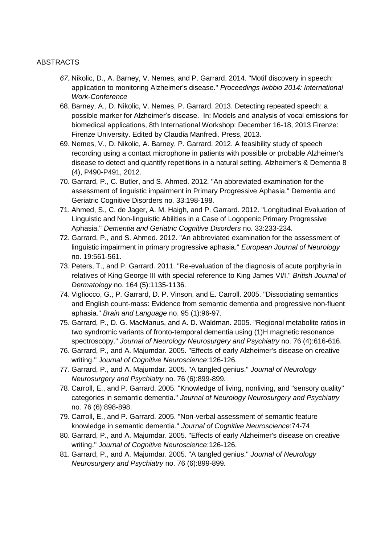#### ABSTRACTS

- *67.* Nikolic, D., A. Barney, V. Nemes, and P. Garrard. 2014. "Motif discovery in speech: application to monitoring Alzheimer's disease." *Proceedings Iwbbio 2014: International Work-Conference*
- 68. Barney, A., D. Nikolic, V. Nemes, P. Garrard. 2013. Detecting repeated speech: a possible marker for Alzheimer's disease. In: Models and analysis of vocal emissions for biomedical applications, 8th International Workshop: December 16-18, 2013 Firenze: Firenze University. Edited by Claudia Manfredi. Press, 2013.
- 69. Nemes, V., D. Nikolic, A. Barney, P. Garrard. 2012. A feasibility study of speech recording using a contact microphone in patients with possible or probable Alzheimer's disease to detect and quantify repetitions in a natural setting. Alzheimer's & Dementia 8 (4), P490-P491, 2012.
- 70. Garrard, P., C. Butler, and S. Ahmed. 2012. "An abbreviated examination for the assessment of linguistic impairment in Primary Progressive Aphasia." Dementia and Geriatric Cognitive Disorders no. 33:198-198.
- 71. Ahmed, S., C. de Jager, A. M. Haigh, and P. Garrard. 2012. "Longitudinal Evaluation of Linguistic and Non-linguistic Abilities in a Case of Logopenic Primary Progressive Aphasia." *Dementia and Geriatric Cognitive Disorders* no. 33:233-234.
- 72. Garrard, P., and S. Ahmed. 2012. "An abbreviated examination for the assessment of linguistic impairment in primary progressive aphasia." *European Journal of Neurology* no. 19:561-561.
- 73. Peters, T., and P. Garrard. 2011. "Re-evaluation of the diagnosis of acute porphyria in relatives of King George III with special reference to King James VI/I." *British Journal of Dermatology* no. 164 (5):1135-1136.
- 74. Vigliocco, G., P. Garrard, D. P. Vinson, and E. Carroll. 2005. "Dissociating semantics and English count-mass: Evidence from semantic dementia and progressive non-fluent aphasia." *Brain and Language* no. 95 (1):96-97.
- 75. Garrard, P., D. G. MacManus, and A. D. Waldman. 2005. "Regional metabolite ratios in two syndromic variants of fronto-temporal dementia using (1)H magnetic resonance spectroscopy." *Journal of Neurology Neurosurgery and Psychiatry* no. 76 (4):616-616.
- 76. Garrard, P., and A. Majumdar. 2005. "Effects of early Alzheimer's disease on creative writing." *Journal of Cognitive Neuroscience*:126-126.
- 77. Garrard, P., and A. Majumdar. 2005. "A tangled genius." *Journal of Neurology Neurosurgery and Psychiatry* no. 76 (6):899-899.
- 78. Carroll, E., and P. Garrard. 2005. "Knowledge of living, nonliving, and "sensory quality'' categories in semantic dementia." *Journal of Neurology Neurosurgery and Psychiatry* no. 76 (6):898-898.
- 79. Carroll, E., and P. Garrard. 2005. "Non-verbal assessment of semantic feature knowledge in semantic dementia." *Journal of Cognitive Neuroscience*:74-74
- 80. Garrard, P., and A. Majumdar. 2005. "Effects of early Alzheimer's disease on creative writing." *Journal of Cognitive Neuroscience*:126-126.
- 81. Garrard, P., and A. Majumdar. 2005. "A tangled genius." *Journal of Neurology Neurosurgery and Psychiatry* no. 76 (6):899-899.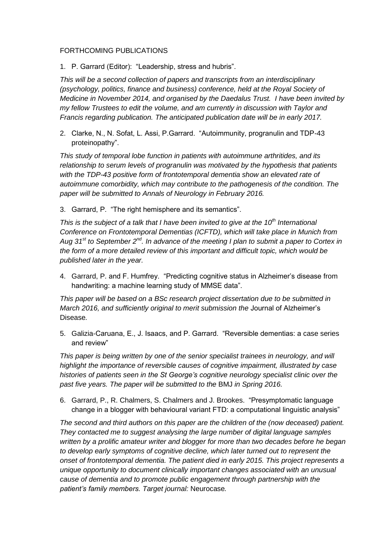#### FORTHCOMING PUBLICATIONS

1. P. Garrard (Editor): "Leadership, stress and hubris".

*This will be a second collection of papers and transcripts from an interdisciplinary (psychology, politics, finance and business) conference, held at the Royal Society of Medicine in November 2014, and organised by the Daedalus Trust. I have been invited by my fellow Trustees to edit the volume, and am currently in discussion with Taylor and Francis regarding publication. The anticipated publication date will be in early 2017.*

2. Clarke, N., N. Sofat, L. Assi, P.Garrard. "Autoimmunity, progranulin and TDP-43 proteinopathy".

*This study of temporal lobe function in patients with autoimmune arthritides, and its relationship to serum levels of progranulin was motivated by the hypothesis that patients with the TDP-43 positive form of frontotemporal dementia show an elevated rate of autoimmune comorbidity, which may contribute to the pathogenesis of the condition. The paper will be submitted to Annals of Neurology in February 2016.* 

3. Garrard, P. "The right hemisphere and its semantics".

*This is the subject of a talk that I have been invited to give at the 10th International Conference on Frontotemporal Dementias (ICFTD), which will take place in Munich from Aug 31st to September 2nd. In advance of the meeting I plan to submit a paper to Cortex in the form of a more detailed review of this important and difficult topic, which would be published later in the year.* 

4. Garrard, P. and F. Humfrey. "Predicting cognitive status in Alzheimer's disease from handwriting: a machine learning study of MMSE data".

*This paper will be based on a BSc research project dissertation due to be submitted in March 2016, and sufficiently original to merit submission the* Journal of Alzheimer's Disease*.*

5. Galizia-Caruana, E., J. Isaacs, and P. Garrard. "Reversible dementias: a case series and review"

*This paper is being written by one of the senior specialist trainees in neurology, and will highlight the importance of reversible causes of cognitive impairment, illustrated by case histories of patients seen in the St George's cognitive neurology specialist clinic over the past five years. The paper will be submitted to the* BMJ *in Spring 2016.*

6. Garrard, P., R. Chalmers, S. Chalmers and J. Brookes. "Presymptomatic language change in a blogger with behavioural variant FTD: a computational linguistic analysis"

*The second and third authors on this paper are the children of the (now deceased) patient. They contacted me to suggest analysing the large number of digital language samples written by a prolific amateur writer and blogger for more than two decades before he began to develop early symptoms of cognitive decline, which later turned out to represent the onset of frontotemporal dementia. The patient died in early 2015. This project represents a unique opportunity to document clinically important changes associated with an unusual cause of dementia and to promote public engagement through partnership with the patient's family members. Target journal:* Neurocase*.*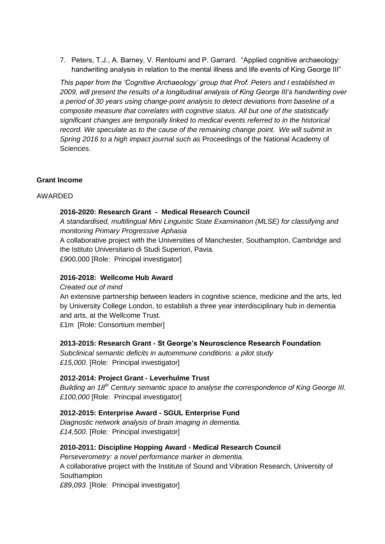7. Peters, T.J., A. Barney, V. Rentoumi and P. Garrard. "Applied cognitive archaeology: handwriting analysis in relation to the mental illness and life events of King George III"

*This paper from the 'Cognitive Archaeology' group that Prof. Peters and I established in 2009, will present the results of a longitudinal analysis of King George III's handwriting over a period of 30 years using change-point analysis to detect deviations from baseline of a composite measure that correlates with cognitive status. All but one of the statistically significant changes are temporally linked to medical events referred to in the historical record.* We speculate as to the cause of the remaining change point. We will submit in *Spring 2016 to a high impact journal such as* Proceedings of the National Academy of Sciences*.* 

#### **Grant Income**

#### AWARDED

#### **2016-2020: Research Grant - Medical Research Council**

*A standardised, multilingual Mini Linguistic State Examination (MLSE) for classifying and monitoring Primary Progressive Aphasia*

A collaborative project with the Universities of Manchester, Southampton, Cambridge and the Istituto Universitario di Studi Superiori, Pavia.

£900,000 [Role: Principal investigator]

#### **2016-2018: Wellcome Hub Award**

#### *Created out of mind*

An extensive partnership between leaders in cognitive science, medicine and the arts, led by University College London, to establish a three year interdisciplinary hub in dementia and arts, at the Wellcome Trust.

£1m [Role: Consortium member]

#### **2013-2015: Research Grant - St George's Neuroscience Research Foundation**

*Subclinical semantic deficits in autoimmune conditions: a pilot study £15,000.* [Role: Principal investigator]

# **2012-2014: Project Grant - Leverhulme Trust**

*Building an 18th Century semantic space to analyse the correspondence of King George III. £100,000* [Role: Principal investigator]

#### **2012-2015: Enterprise Award - SGUL Enterprise Fund**

*Diagnostic network analysis of brain imaging in dementia. £14,500.* [Role: Principal investigator]

#### **2010-2011: Discipline Hopping Award - Medical Research Council**

*Perseverometry: a novel performance marker in dementia.*

A collaborative project with the Institute of Sound and Vibration Research, University of Southampton

*£89,093.* [Role: Principal investigator]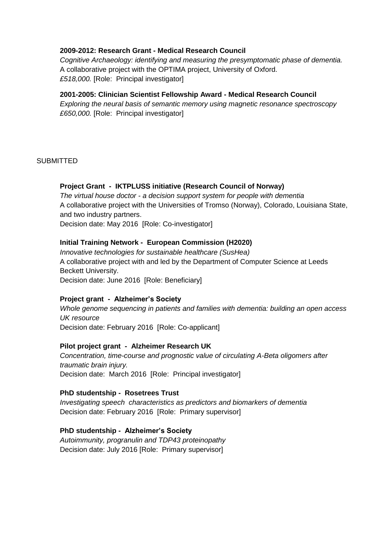#### **2009-2012: Research Grant - Medical Research Council**

*Cognitive Archaeology: identifying and measuring the presymptomatic phase of dementia.* A collaborative project with the OPTIMA project, University of Oxford. *£518,000.* [Role: Principal investigator]

#### **2001-2005: Clinician Scientist Fellowship Award - Medical Research Council**

*Exploring the neural basis of semantic memory using magnetic resonance spectroscopy £650,000.* [Role: Principal investigator]

#### **SUBMITTED**

#### **Project Grant - IKTPLUSS initiative (Research Council of Norway)**

*The virtual house doctor - a decision support system for people with dementia* A collaborative project with the Universities of Tromso (Norway), Colorado, Louisiana State, and two industry partners.

Decision date: May 2016 [Role: Co-investigator]

#### **Initial Training Network - European Commission (H2020)**

*Innovative technologies for sustainable healthcare (SusHea)* A collaborative project with and led by the Department of Computer Science at Leeds Beckett University. Decision date: June 2016 [Role: Beneficiary]

#### **Project grant - Alzheimer's Society**

*Whole genome sequencing in patients and families with dementia: building an open access UK resource* Decision date: February 2016 [Role: Co-applicant]

#### **Pilot project grant - Alzheimer Research UK**

*Concentration, time-course and prognostic value of circulating A-Beta oligomers after traumatic brain injury.* Decision date: March 2016 [Role: Principal investigator]

#### **PhD studentship - Rosetrees Trust**

*Investigating speech characteristics as predictors and biomarkers of dementia* Decision date: February 2016 [Role: Primary supervisor]

#### **PhD studentship - Alzheimer's Society**

*Autoimmunity, progranulin and TDP43 proteinopathy* Decision date: July 2016 [Role: Primary supervisor]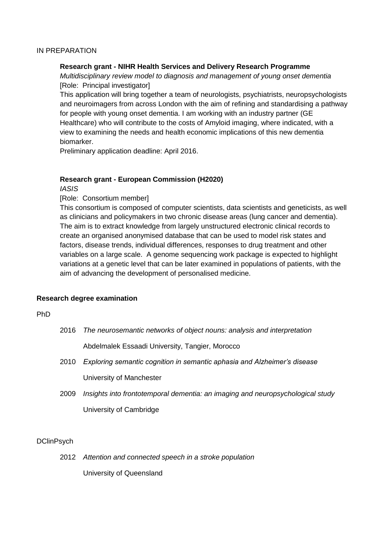#### IN PREPARATION

#### **Research grant - NIHR Health Services and Delivery Research Programme**

*Multidisciplinary review model to diagnosis and management of young onset dementia* [Role: Principal investigator]

This application will bring together a team of neurologists, psychiatrists, neuropsychologists and neuroimagers from across London with the aim of refining and standardising a pathway for people with young onset dementia. I am working with an industry partner (GE Healthcare) who will contribute to the costs of Amyloid imaging, where indicated, with a view to examining the needs and health economic implications of this new dementia biomarker.

Preliminary application deadline: April 2016.

#### **Research grant - European Commission (H2020)**

*IASIS*

[Role: Consortium member]

This consortium is composed of computer scientists, data scientists and geneticists, as well as clinicians and policymakers in two chronic disease areas (lung cancer and dementia). The aim is to extract knowledge from largely unstructured electronic clinical records to create an organised anonymised database that can be used to model risk states and factors, disease trends, individual differences, responses to drug treatment and other variables on a large scale. A genome sequencing work package is expected to highlight variations at a genetic level that can be later examined in populations of patients, with the aim of advancing the development of personalised medicine.

#### **Research degree examination**

#### PhD

| 2016 | The neurosemantic networks of object nouns: analysis and interpretation |
|------|-------------------------------------------------------------------------|
|      | Abdelmalek Essaadi University, Tangier, Morocco                         |

- 2010 *Exploring semantic cognition in semantic aphasia and Alzheimer's disease* University of Manchester
- 2009 *Insights into frontotemporal dementia: an imaging and neuropsychological study* University of Cambridge

#### **DClinPsych**

2012 *Attention and connected speech in a stroke population* University of Queensland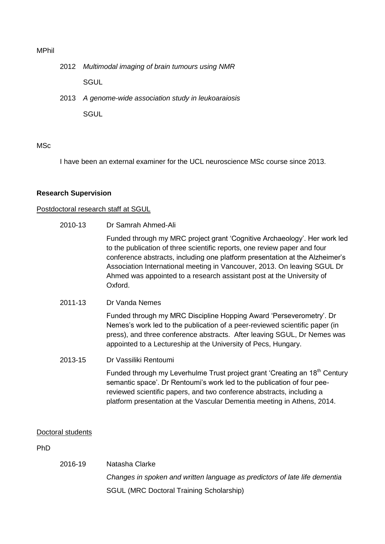#### MPhil

- 2012 *Multimodal imaging of brain tumours using NMR* **SGUL**
- 2013 *A genome-wide association study in leukoaraiosis*

**SGUL** 

#### MSc

I have been an external examiner for the UCL neuroscience MSc course since 2013.

#### **Research Supervision**

#### Postdoctoral research staff at SGUL

2010-13 Dr Samrah Ahmed-Ali

Funded through my MRC project grant 'Cognitive Archaeology'. Her work led to the publication of three scientific reports, one review paper and four conference abstracts, including one platform presentation at the Alzheimer's Association International meeting in Vancouver, 2013. On leaving SGUL Dr Ahmed was appointed to a research assistant post at the University of Oxford.

2011-13 Dr Vanda Nemes

Funded through my MRC Discipline Hopping Award 'Perseverometry'. Dr Nemes's work led to the publication of a peer-reviewed scientific paper (in press), and three conference abstracts. After leaving SGUL, Dr Nemes was appointed to a Lectureship at the University of Pecs, Hungary.

2013-15 Dr Vassiliki Rentoumi

Funded through my Leverhulme Trust project grant 'Creating an 18<sup>th</sup> Century semantic space'. Dr Rentoumi's work led to the publication of four peereviewed scientific papers, and two conference abstracts, including a platform presentation at the Vascular Dementia meeting in Athens, 2014.

#### Doctoral students

#### PhD

2016-19 Natasha Clarke *Changes in spoken and written language as predictors of late life dementia* SGUL (MRC Doctoral Training Scholarship)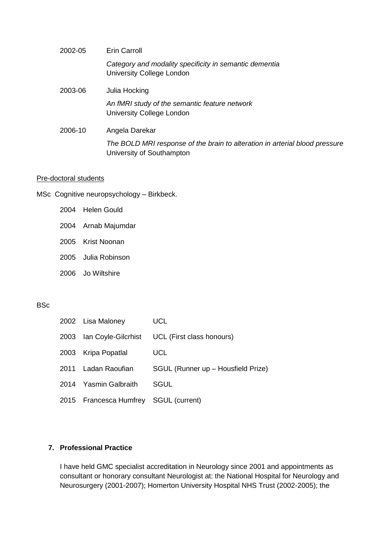| 2002-05 | Erin Carroll                                                                                             |  |  |  |
|---------|----------------------------------------------------------------------------------------------------------|--|--|--|
|         | Category and modality specificity in semantic dementia<br>University College London                      |  |  |  |
| 2003-06 | Julia Hocking                                                                                            |  |  |  |
|         | An fMRI study of the semantic feature network<br>University College London                               |  |  |  |
| 2006-10 | Angela Darekar                                                                                           |  |  |  |
|         | The BOLD MRI response of the brain to alteration in arterial blood pressure<br>University of Southampton |  |  |  |
|         |                                                                                                          |  |  |  |

#### Pre-doctoral students

MSc Cognitive neuropsychology – Birkbeck.

- 2004 Helen Gould
- 2004 Arnab Majumdar
- 2005 Krist Noonan
- 2005 Julia Robinson
- 2006 Jo Wiltshire

#### **BSc**

| 2002 Lisa Maloney                     | <b>UCL</b>                                         |
|---------------------------------------|----------------------------------------------------|
|                                       | 2003 Ian Coyle-Gilcrhist UCL (First class honours) |
| 2003 Kripa Popatlal                   | <b>UCL</b>                                         |
| 2011 Ladan Raoufian                   | SGUL (Runner up - Housfield Prize)                 |
| 2014 Yasmin Galbraith                 | SGUL                                               |
| 2015 Francesca Humfrey SGUL (current) |                                                    |

# **7. Professional Practice**

I have held GMC specialist accreditation in Neurology since 2001 and appointments as consultant or honorary consultant Neurologist at: the National Hospital for Neurology and Neurosurgery (2001-2007); Homerton University Hospital NHS Trust (2002-2005); the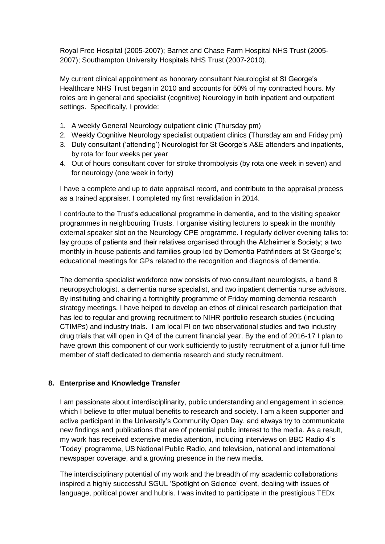Royal Free Hospital (2005-2007); Barnet and Chase Farm Hospital NHS Trust (2005- 2007); Southampton University Hospitals NHS Trust (2007-2010).

My current clinical appointment as honorary consultant Neurologist at St George's Healthcare NHS Trust began in 2010 and accounts for 50% of my contracted hours. My roles are in general and specialist (cognitive) Neurology in both inpatient and outpatient settings. Specifically, I provide:

- 1. A weekly General Neurology outpatient clinic (Thursday pm)
- 2. Weekly Cognitive Neurology specialist outpatient clinics (Thursday am and Friday pm)
- 3. Duty consultant ('attending') Neurologist for St George's A&E attenders and inpatients, by rota for four weeks per year
- 4. Out of hours consultant cover for stroke thrombolysis (by rota one week in seven) and for neurology (one week in forty)

I have a complete and up to date appraisal record, and contribute to the appraisal process as a trained appraiser. I completed my first revalidation in 2014.

I contribute to the Trust's educational programme in dementia, and to the visiting speaker programmes in neighbouring Trusts. I organise visiting lecturers to speak in the monthly external speaker slot on the Neurology CPE programme. I regularly deliver evening talks to: lay groups of patients and their relatives organised through the Alzheimer's Society; a two monthly in-house patients and families group led by Dementia Pathfinders at St George's; educational meetings for GPs related to the recognition and diagnosis of dementia.

The dementia specialist workforce now consists of two consultant neurologists, a band 8 neuropsychologist, a dementia nurse specialist, and two inpatient dementia nurse advisors. By instituting and chairing a fortnightly programme of Friday morning dementia research strategy meetings, I have helped to develop an ethos of clinical research participation that has led to regular and growing recruitment to NIHR portfolio research studies (including CTIMPs) and industry trials. I am local PI on two observational studies and two industry drug trials that will open in Q4 of the current financial year. By the end of 2016-17 I plan to have grown this component of our work sufficiently to justify recruitment of a junior full-time member of staff dedicated to dementia research and study recruitment.

# **8. Enterprise and Knowledge Transfer**

I am passionate about interdisciplinarity, public understanding and engagement in science, which I believe to offer mutual benefits to research and society. I am a keen supporter and active participant in the University's Community Open Day, and always try to communicate new findings and publications that are of potential public interest to the media. As a result, my work has received extensive media attention, including interviews on BBC Radio 4's 'Today' programme, US National Public Radio, and television, national and international newspaper coverage, and a growing presence in the new media.

The interdisciplinary potential of my work and the breadth of my academic collaborations inspired a highly successful SGUL 'Spotlight on Science' event, dealing with issues of language, political power and hubris. I was invited to participate in the prestigious TEDx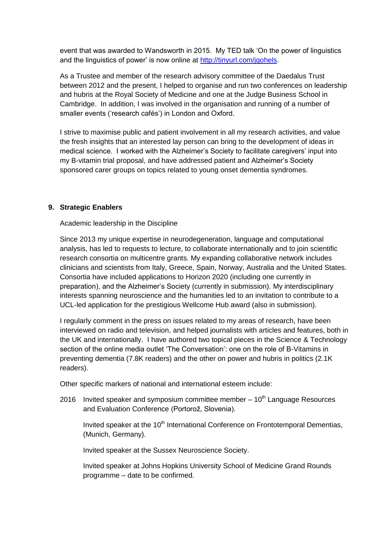event that was awarded to Wandsworth in 2015. My TED talk 'On the power of linguistics and the linguistics of power' is now online at [http://tinyurl.com/jqohels.](http://tinyurl.com/jqohels)

As a Trustee and member of the research advisory committee of the Daedalus Trust between 2012 and the present, I helped to organise and run two conferences on leadership and hubris at the Royal Society of Medicine and one at the Judge Business School in Cambridge. In addition, I was involved in the organisation and running of a number of smaller events ('research cafés') in London and Oxford.

I strive to maximise public and patient involvement in all my research activities, and value the fresh insights that an interested lay person can bring to the development of ideas in medical science. I worked with the Alzheimer's Society to facilitate caregivers' input into my B-vitamin trial proposal, and have addressed patient and Alzheimer's Society sponsored carer groups on topics related to young onset dementia syndromes.

#### **9. Strategic Enablers**

Academic leadership in the Discipline

Since 2013 my unique expertise in neurodegeneration, language and computational analysis, has led to requests to lecture, to collaborate internationally and to join scientific research consortia on multicentre grants. My expanding collaborative network includes clinicians and scientists from Italy, Greece, Spain, Norway, Australia and the United States. Consortia have included applications to Horizon 2020 (including one currently in preparation), and the Alzheimer's Society (currently in submission). My interdisciplinary interests spanning neuroscience and the humanities led to an invitation to contribute to a UCL-led application for the prestigious Wellcome Hub award (also in submission).

I regularly comment in the press on issues related to my areas of research, have been interviewed on radio and television, and helped journalists with articles and features, both in the UK and internationally. I have authored two topical pieces in the Science & Technology section of the online media outlet 'The Conversation': one on the role of B-Vitamins in preventing dementia (7.8K readers) and the other on power and hubris in politics (2.1K readers).

Other specific markers of national and international esteem include:

2016 Invited speaker and symposium committee member  $-10<sup>th</sup>$  Language Resources and Evaluation Conference (Portorož, Slovenia).

Invited speaker at the  $10<sup>th</sup>$  International Conference on Frontotemporal Dementias, (Munich, Germany).

Invited speaker at the Sussex Neuroscience Society.

2016 Invited speaker at Johns Hopkins University School of Medicine Grand Rounds programme – date to be confirmed.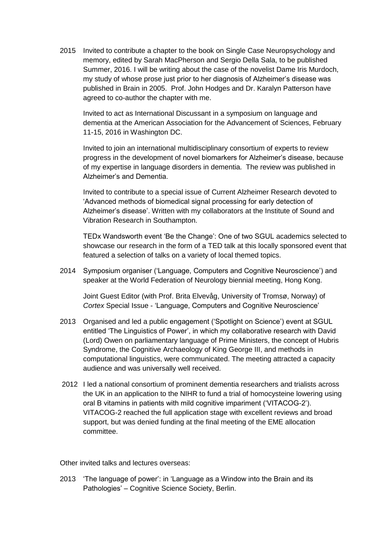2015 Invited to contribute a chapter to the book on Single Case Neuropsychology and memory, edited by Sarah MacPherson and Sergio Della Sala, to be published Summer, 2016. I will be writing about the case of the novelist Dame Iris Murdoch, my study of whose prose just prior to her diagnosis of Alzheimer's disease was published in Brain in 2005. Prof. John Hodges and Dr. Karalyn Patterson have agreed to co-author the chapter with me.

Invited to act as International Discussant in a symposium on language and dementia at the American Association for the Advancement of Sciences, February 11-15, 2016 in Washington DC.

Invited to join an international multidisciplinary consortium of experts to review progress in the development of novel biomarkers for Alzheimer's disease, because of my expertise in language disorders in dementia. The review was published in Alzheimer's and Dementia.

2015 Invited to contribute to a special issue of Current Alzheimer Research devoted to 'Advanced methods of biomedical signal processing for early detection of Alzheimer's disease'. Written with my collaborators at the Institute of Sound and Vibration Research in Southampton.

TEDx Wandsworth event 'Be the Change': One of two SGUL academics selected to showcase our research in the form of a TED talk at this locally sponsored event that featured a selection of talks on a variety of local themed topics.

2014 Symposium organiser ('Language, Computers and Cognitive Neuroscience') and speaker at the World Federation of Neurology biennial meeting, Hong Kong.

Joint Guest Editor (with Prof. Brita Elvevåg, University of Tromsø, Norway) of *Cortex* Special Issue - 'Language, Computers and Cognitive Neuroscience'

- 2013 Organised and led a public engagement ('Spotlight on Science') event at SGUL entitled 'The Linguistics of Power', in which my collaborative research with David (Lord) Owen on parliamentary language of Prime Ministers, the concept of Hubris Syndrome, the Cognitive Archaeology of King George III, and methods in computational linguistics, were communicated. The meeting attracted a capacity audience and was universally well received.
- 2012 I led a national consortium of prominent dementia researchers and trialists across the UK in an application to the NIHR to fund a trial of homocysteine lowering using oral B vitamins in patients with mild cognitive impariment ('VITACOG-2'). VITACOG-2 reached the full application stage with excellent reviews and broad support, but was denied funding at the final meeting of the EME allocation committee.

Other invited talks and lectures overseas:

2013 'The language of power': in 'Language as a Window into the Brain and its Pathologies' – Cognitive Science Society, Berlin.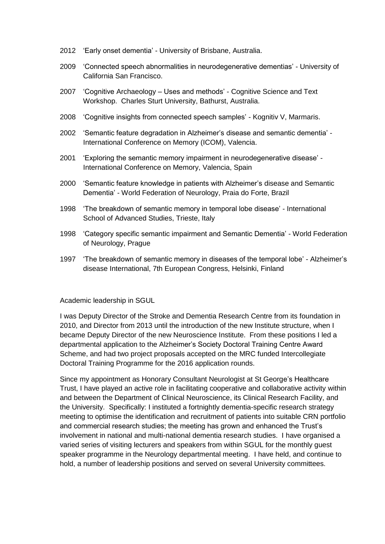- 2012 'Early onset dementia' University of Brisbane, Australia.
- 2009 'Connected speech abnormalities in neurodegenerative dementias' University of California San Francisco.
- 2007 'Cognitive Archaeology Uses and methods' Cognitive Science and Text Workshop. Charles Sturt University, Bathurst, Australia.
- 2008 'Cognitive insights from connected speech samples' Kognitiv V, Marmaris.
- 2002 'Semantic feature degradation in Alzheimer's disease and semantic dementia' International Conference on Memory (ICOM), Valencia.
- 2001 'Exploring the semantic memory impairment in neurodegenerative disease' International Conference on Memory, Valencia, Spain
- 2000 'Semantic feature knowledge in patients with Alzheimer's disease and Semantic Dementia' - World Federation of Neurology, Praia do Forte, Brazil
- 1998 'The breakdown of semantic memory in temporal lobe disease' International School of Advanced Studies, Trieste, Italy
- 1998 'Category specific semantic impairment and Semantic Dementia' World Federation of Neurology, Prague
- 1997 'The breakdown of semantic memory in diseases of the temporal lobe' Alzheimer's disease International, 7th European Congress, Helsinki, Finland

Academic leadership in SGUL

I was Deputy Director of the Stroke and Dementia Research Centre from its foundation in 2010, and Director from 2013 until the introduction of the new Institute structure, when I became Deputy Director of the new Neuroscience Institute. From these positions I led a departmental application to the Alzheimer's Society Doctoral Training Centre Award Scheme, and had two project proposals accepted on the MRC funded Intercollegiate Doctoral Training Programme for the 2016 application rounds.

Since my appointment as Honorary Consultant Neurologist at St George's Healthcare Trust, I have played an active role in facilitating cooperative and collaborative activity within and between the Department of Clinical Neuroscience, its Clinical Research Facility, and the University. Specifically: I instituted a fortnightly dementia-specific research strategy meeting to optimise the identification and recruitment of patients into suitable CRN portfolio and commercial research studies; the meeting has grown and enhanced the Trust's involvement in national and multi-national dementia research studies. I have organised a varied series of visiting lecturers and speakers from within SGUL for the monthly guest speaker programme in the Neurology departmental meeting. I have held, and continue to hold, a number of leadership positions and served on several University committees.